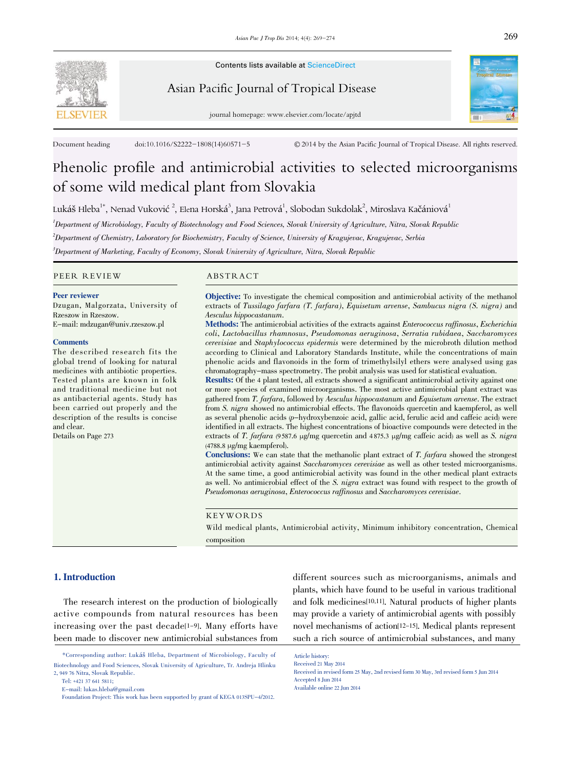Contents lists available at ScienceDirect



Asian Pacific Journal of Tropical Disease



journal homepage: www.elsevier.com/locate/apjtd

Document heading doi:10.1016/S2222-1808(14)60571-5 © 2014 by the Asian Pacific Journal of Tropical Disease. All rights reserved.

# Phenolic profile and antimicrobial activities to selected microorganisms of some wild medical plant from Slovakia

Lukáš Hleba $^{1*}$ , Nenad Vuković  $^{2}$ , Elena Horská $^{3}$ , Jana Petrová $^{1}$ , Slobodan Sukdolak $^{2}$ , Miroslava Kačániová $^{1}$ 

1 Department of Microbiology, Faculty of Biotechnology and Food Sciences, Slovak University of Agriculture, Nitra, Slovak Republic

2 Department of Chemistry, Laboratory for Biochemistry, Faculty of Science, University of Kragujevac, Kragujevac, Serbia

 $^3$ Department of Marketing, Faculty of Economy, Slovak University of Agriculture, Nitra, Slovak Republic

#### PEER REVIEW ABSTRACT

#### Peer reviewer

Dzugan, Malgorzata, University of Rzeszow in Rzeszow. E-mail: mdzugan@univ.rzeszow.pl

#### **Comments**

The described research fits the global trend of looking for natural medicines with antibiotic properties. Tested plants are known in folk and traditional medicine but not as antibacterial agents. Study has been carried out properly and the description of the results is concise and clear.

Details on Page 273

Objective: To investigate the chemical composition and antimicrobial activity of the methanol extracts of Tussilago farfara (T. farfara), Equisetum arvense, Sambucus nigra (S. nigra) and Aesculus hippocastanum.

Methods: The antimicrobial activities of the extracts against Enterococcus raffinosus, Escherichia coli, Lactobacillus rhamnosus, Pseudomonas aeruginosa, Serratia rubidaea, Saccharomyces cerevisiae and Staphylococcus epidermis were determined by the microbroth dilution method according to Clinical and Laboratory Standards Institute, while the concentrations of main phenolic acids and flavonoids in the form of trimethylsilyl ethers were analysed using gas chromatography-mass spectrometry. The probit analysis was used for statistical evaluation.

Results: Of the <sup>4</sup> plant tested, all extracts showed a significant antimicrobial activity against one or more species of examined microorganisms. The most active antimicrobial plant extract was gathered from T. farfara, followed by Aesculus hippocastanum and Equisetum arvense. The extract from S. nigra showed no antimicrobial effects. The flavonoids quercetin and kaempferol, as well as several phenolic acids (p-hydroxybenzoic acid, gallic acid, ferulic acid and caffeic acid) were identified in all extracts. The highest concentrations of bioactive compounds were detected in the extracts of T. farfara (9587.6 µg/mg quercetin and 4875.3 µg/mg caffeic acid) as well as S. nigra (4788.8 µg/mg kaempferol).

Conclusions: We can state that the methanolic plant extract of T. farfara showed the strongest antimicrobial activity against Saccharomyces cerevisiae as well as other tested microorganisms. At the same time, a good antimicrobial activity was found in the other medical plant extracts as well. No antimicrobial effect of the S. nigra extract was found with respect to the growth of Pseudomonas aeruginosa, Enterococcus raffinosus and Saccharomyces cerevisiae.

### KEYWORDS

Wild medical plants, Antimicrobial activity, Minimum inhibitory concentration, Chemical composition

### 1. Introduction

The research interest on the production of biologically active compounds from natural resources has been increasing over the past decade<sup>[1-9]</sup>. Many efforts have been made to discover new antimicrobial substances from

different sources such as microorganisms, animals and plants, which have found to be useful in various traditional and folk medicines[10,11]. Natural products of higher plants may provide a variety of antimicrobial agents with possibly novel mechanisms of action<sup>[12-15]</sup>. Medical plants represent such a rich source of antimicrobial substances, and many

Article history: Received 21 May 2014

<sup>\*</sup>Corresponding author: Lukáš Hleba, Department of Microbiology, Faculty of Biotechnology and Food Sciences, Slovak University of Agriculture, Tr. Andreja Hlinku 2, 949 76 Nitra, Slovak Republic.

Tel: +421 37 641 5811;

E-mail: lukas.hleba@gmail.com

Foundation Project: This work has been supported by grant of KEGA 013SPU-4/2012.

Received in revised form 25 May, 2nd revised form 30 May, 3rd revised form 5 Jun 2014 Accepted 8 Jun 2014 Available online 22 Jun 2014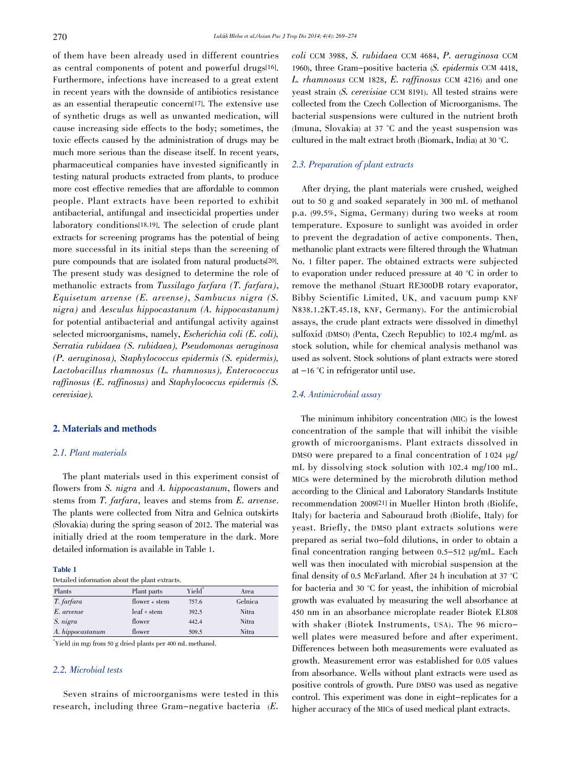of them have been already used in different countries as central components of potent and powerful drugs[16]. Furthermore, infections have increased to a great extent in recent years with the downside of antibiotics resistance as an essential therapeutic concern[17]. The extensive use of synthetic drugs as well as unwanted medication, will cause increasing side effects to the body; sometimes, the toxic effects caused by the administration of drugs may be much more serious than the disease itself. In recent years, pharmaceutical companies have invested significantly in testing natural products extracted from plants, to produce more cost effective remedies that are affordable to common people. Plant extracts have been reported to exhibit antibacterial, antifungal and insecticidal properties under laboratory conditions[18,19]. The selection of crude plant extracts for screening programs has the potential of being more successful in its initial steps than the screening of pure compounds that are isolated from natural products[20]. The present study was designed to determine the role of methanolic extracts from Tussilago farfara (T. farfara), Equisetum arvense (E. arvense), Sambucus nigra (S. nigra) and Aesculus hippocastanum (A. hippocastanum) for potential antibacterial and antifungal activity against selected microorganisms, namely, Escherichia coli (E. coli), Serratia rubidaea (S. rubidaea), Pseudomonas aeruginosa (P. aeruginosa), Staphylococcus epidermis (S. epidermis), Lactobacillus rhamnosus (L. rhamnosus), Enterococcus raffinosus (E. raffinosus) and Staphylococcus epidermis (S. cerevisiae).

### 2. Materials and methods

### 2.1. Plant materials

The plant materials used in this experiment consist of flowers from S. *nigra* and A. *hippocastanum*, flowers and stems from T. farfara, leaves and stems from E. arvense. The plants were collected from Nitra and Gelnica outskirts (Slovakia) during the spring season of 2012. The material was initially dried at the room temperature in the dark. More detailed information is available in Table 1.

### Table 1

| Detailed information about the plant extracts. |  |  |
|------------------------------------------------|--|--|
|                                                |  |  |

| Plants           | Plant parts     | Yield <sup>*</sup> | Area    |
|------------------|-----------------|--------------------|---------|
| T. farfara       | flower $+$ stem | 757.6              | Gelnica |
| E. arvense       | $leaf + stem$   | 392.5              | Nitra   |
| S. nigra         | flower          | 442.4              | Nitra   |
| A. hippocastanum | flower          | 509.5              | Nitra   |

\* Yield (in mg) from 50 g dried plants per 400 mL methanol.

### 2.2. Microbial tests

Seven strains of microorganisms were tested in this research, including three Gram-negative bacteria  $(E$ .

coli CCM 3988, S. rubidaea CCM 4684, P. aeruginosa CCM 1960), three Gram-positive bacteria (S. epidermis CCM 4418, L. rhamnosus CCM 1828, E. raffinosus CCM 4216) and one yeast strain (S. cerevisiae CCM 8191). All tested strains were collected from the Czech Collection of Microorganisms. The bacterial suspensions were cultured in the nutrient broth (Imuna, Slovakia) at 37 °C and the yeast suspension was cultured in the malt extract broth (Biomark, India) at 30 °C.

### 2.3. Preparation of plant extracts

After drying, the plant materials were crushed, weighed out to 50 g and soaked separately in 300 mL of methanol p.a. (99.5%, Sigma, Germany) during two weeks at room temperature. Exposure to sunlight was avoided in order to prevent the degradation of active components. Then, methanolic plant extracts were filtered through the Whatman No. 1 filter paper. The obtained extracts were subjected to evaporation under reduced pressure at 40 °C in order to remove the methanol (Stuart RE300DB rotary evaporator, Bibby Scientific Limited, UK, and vacuum pump KNF N838.1.2KT.45.18, KNF, Germany). For the antimicrobial assays, the crude plant extracts were dissolved in dimethyl sulfoxid (DMSO) (Penta, Czech Republic) to 102.4 mg/mL as stock solution, while for chemical analysis methanol was used as solvent. Stock solutions of plant extracts were stored at -16 °C in refrigerator until use.

### 2.4. Antimicrobial assay

The minimum inhibitory concentration (MIC) is the lowest concentration of the sample that will inhibit the visible growth of microorganisms. Plant extracts dissolved in DMSO were prepared to a final concentration of 1024 µg/ mL by dissolving stock solution with 102.4 mg/100 mL. MICs were determined by the microbroth dilution method according to the Clinical and Laboratory Standards Institute recommendation 2009[21] in Mueller Hinton broth (Biolife, Italy) for bacteria and Sabouraud broth (Biolife, Italy) for yeast. Briefly, the DMSO plant extracts solutions were prepared as serial two-fold dilutions, in order to obtain a final concentration ranging between 0.5-512 µg/mL. Each well was then inoculated with microbial suspension at the final density of 0.5 McFarland. After 24 h incubation at 37 °C for bacteria and 30 °C for yeast, the inhibition of microbial growth was evaluated by measuring the well absorbance at 450 nm in an absorbance microplate reader Biotek EL808 with shaker (Biotek Instruments, USA). The 96 microwell plates were measured before and after experiment. Differences between both measurements were evaluated as growth. Measurement error was established for 0.05 values from absorbance. Wells without plant extracts were used as positive controls of growth. Pure DMSO was used as negative control. This experiment was done in eight-replicates for a higher accuracy of the MICs of used medical plant extracts.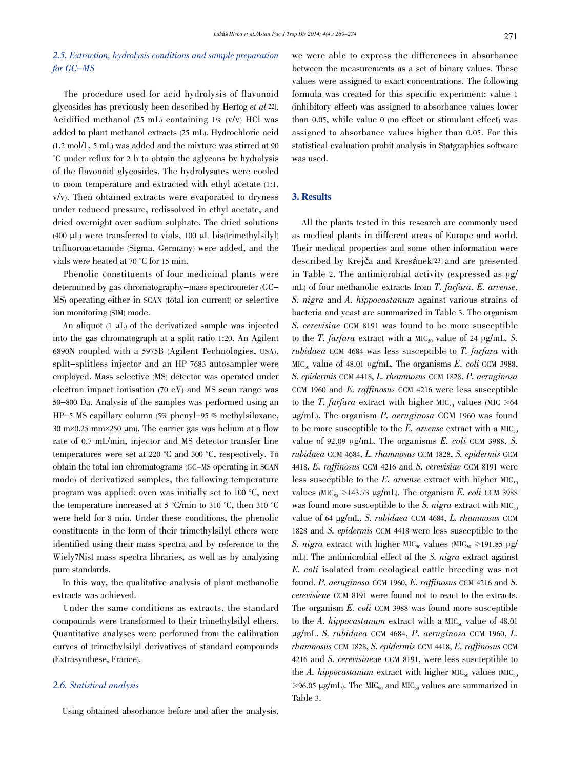### 2.5. Extraction, hydrolysis conditions and sample preparation for GC-MS

The procedure used for acid hydrolysis of flavonoid glycosides has previously been described by Hertog et al<sup>[22]</sup>. Acidified methanol (25 mL) containing  $1\%$  (v/v) HCl was added to plant methanol extracts (25 mL). Hydrochloric acid (1.2 mol/L, 5 mL) was added and the mixture was stirred at 90 °C under reflux for 2 h to obtain the aglycons by hydrolysis of the flavonoid glycosides. The hydrolysates were cooled to room temperature and extracted with ethyl acetate (1:1, v/v). Then obtained extracts were evaporated to dryness under reduced pressure, redissolved in ethyl acetate, and dried overnight over sodium sulphate. The dried solutions (400  $\mu$ L) were transferred to vials, 100  $\mu$ L bis(trimethylsilyl) trifluoroacetamide (Sigma, Germany) were added, and the vials were heated at 70 °C for 15 min.

Phenolic constituents of four medicinal plants were determined by gas chromatography-mass spectrometer (GC-MS) operating either in SCAN (total ion current) or selective ion monitoring (SIM) mode.

An aliquot  $(1 \mu L)$  of the derivatized sample was injected into the gas chromatograph at a split ratio 1:20. An Agilent 6890N coupled with a 5975B (Agilent Technologies, USA), split-splitless injector and an HP 7683 autosampler were employed. Mass selective (MS) detector was operated under electron impact ionisation (70 eV) and MS scan range was 50-800 Da. Analysis of the samples was performed using an HP-5 MS capillary column (5% phenyl-95 % methylsiloxane,  $30 \text{ m} \times 0.25 \text{ mm} \times 250 \text{ \mu m}$ . The carrier gas was helium at a flow rate of 0.7 mL/min, injector and MS detector transfer line temperatures were set at 220 °C and 300 °C, respectively. To obtain the total ion chromatograms (GC-MS operating in SCAN mode) of derivatized samples, the following temperature program was applied: oven was initially set to 100 °C, next the temperature increased at 5 °C/min to 310 °C, then 310 °C were held for 8 min. Under these conditions, the phenolic constituents in the form of their trimethylsilyl ethers were identified using their mass spectra and by reference to the Wiely7Nist mass spectra libraries, as well as by analyzing pure standards.

In this way, the qualitative analysis of plant methanolic extracts was achieved.

Under the same conditions as extracts, the standard compounds were transformed to their trimethylsilyl ethers. Quantitative analyses were performed from the calibration curves of trimethylsilyl derivatives of standard compounds (Extrasynthese, France).

### 2.6. Statistical analysis

Using obtained absorbance before and after the analysis,

we were able to express the differences in absorbance between the measurements as a set of binary values. These values were assigned to exact concentrations. The following formula was created for this specific experiment: value 1 (inhibitory effect) was assigned to absorbance values lower than 0.05, while value 0 (no effect or stimulant effect) was assigned to absorbance values higher than 0.05. For this statistical evaluation probit analysis in Statgraphics software was used.

### 3. Results

All the plants tested in this research are commonly used as medical plants in different areas of Europe and world. Their medical properties and some other information were described by Krejča and Kresánek[23] and are presented in Table 2. The antimicrobial activity (expressed as  $\mu$ g/ mL) of four methanolic extracts from T. farfara, E. arvense, S. nigra and A. hippocastanum against various strains of bacteria and yeast are summarized in Table 3. The organism S. cerevisiae CCM <sup>8191</sup> was found to be more susceptible to the T. farfara extract with a MIC<sub>50</sub> value of 24  $\mu$ g/mL. S. rubidaea CCM <sup>4684</sup> was less susceptible to T. farfara with  $MIC<sub>50</sub>$  value of 48.01 µg/mL. The organisms E. coli CCM 3988, S. epidermis CCM 4418, L. rhamnosus CCM 1828, P. aeruginosa CCM <sup>1960</sup> and E. raffinosus CCM <sup>4216</sup> were less susceptible to the T. farfara extract with higher MIC<sub>50</sub> values (MIC  $\geq 64$ <sup>µ</sup>g/mL). The organism P. aeruginosa CCM <sup>1960</sup> was found to be more susceptible to the E. arvense extract with a  $MIC_{50}$ value of 92.09  $\mu$ g/mL. The organisms E. coli CCM 3988, S. rubidaea CCM 4684, L. rhamnosus CCM 1828, S. epidermis CCM 4418, E. raffinosus CCM <sup>4216</sup> and S. cerevisiae CCM <sup>8191</sup> were less susceptible to the E. arvense extract with higher  $MIC_{50}$ values (MIC<sub>50</sub> ≥143.73 µg/mL). The organism E. coli CCM 3988 was found more susceptible to the S. nigra extract with  $MIC_{50}$ value of 64 µg/mL. S. *rubidaea* CCM 4684, L. *rhamnosus* CCM <sup>1828</sup> and S. epidermis CCM <sup>4418</sup> were less susceptible to the S. nigra extract with higher MIC<sub>50</sub> values (MIC<sub>50</sub> ≥191.85 µg/ mL). The antimicrobial effect of the S. nigra extract against E. coli isolated from ecological cattle breeding was not found. P. aeruginosa CCM 1960, E. raffinosus CCM <sup>4216</sup> and S. cerevisieae CCM <sup>8191</sup> were found not to react to the extracts. The organism E. coli CCM 3988 was found more susceptible to the A. hippocastanum extract with a MIC<sub>50</sub> value of 48.01 <sup>µ</sup>g/mL. S. rubidaea CCM 4684, P. aeruginosa CCM 1960, L. rhamnosus CCM 1828, S. epidermis CCM 4418, E. raffinosus CCM <sup>4216</sup> and S. cerevisiaeae CCM 8191, were less suscteptible to the A. hippocastanum extract with higher  $MIC_{50}$  values (MIC<sub>50</sub>) ≥96.05 µg/mL). The MIC<sub>90</sub> and MIC<sub>50</sub> values are summarized in Table 3.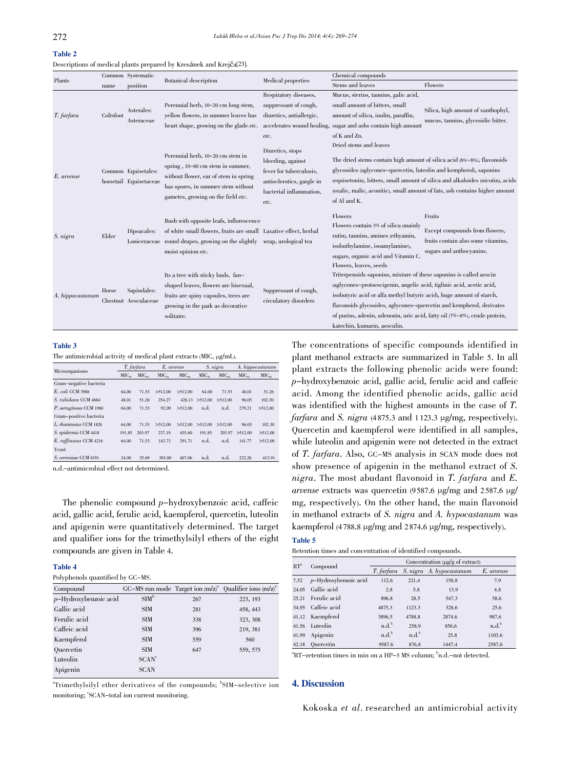## Table 2

Descriptions of medical plants prepared by Kresánek and Krejča[23].

| Plants           |           | Common Systematic                             |                                                                                                                                                                                                              |                                                                                                                                  | Chemical compounds                                                                                                                                                                                                                                                                                                                                                                                     |                                                                                                                                                               |  |
|------------------|-----------|-----------------------------------------------|--------------------------------------------------------------------------------------------------------------------------------------------------------------------------------------------------------------|----------------------------------------------------------------------------------------------------------------------------------|--------------------------------------------------------------------------------------------------------------------------------------------------------------------------------------------------------------------------------------------------------------------------------------------------------------------------------------------------------------------------------------------------------|---------------------------------------------------------------------------------------------------------------------------------------------------------------|--|
|                  | name      | position                                      | Botanical description                                                                                                                                                                                        | Medical properties                                                                                                               | Stems and leaves                                                                                                                                                                                                                                                                                                                                                                                       | Flowers                                                                                                                                                       |  |
| T. farfara       | Coltsfoot | Asterales:<br>Asteraceae                      | Perennial herb, 10-20 cm long stem,<br>vellow flowers, in summer leaves has<br>heart shape, growing on the glade etc.                                                                                        | Respiratory diseases,<br>suppressant of cough.<br>diuretics, antiallergic,<br>etc.                                               | Mucus, sterins, tannins, galic acid,<br>small amount of bitters, small<br>amount of silica, inulin, paraffin,<br>accelerates wound healing, sugar and ashs contain high amount<br>of K and Zn.                                                                                                                                                                                                         | Silica, high amount of xanthophyl,<br>mucus, tannins, glycosidic bitter.                                                                                      |  |
| E. arvense       |           | Common Equisetales:<br>horsetail Equisetaceae | Perennial herb, 10-20 cm stem in<br>spring, 10-60 cm stem in summer,<br>without flower, ear of stem in spring<br>has spores, in summer stem without<br>gametes, growing on the field <i>etc</i> .            | Diuretics, stops<br>bleeding, against<br>fever for tuberculosis,<br>antisclerotics, gargle in<br>bacterial inflammation,<br>etc. | Dried stems and leaves<br>The dried stems contain high amount of silica acid $(6\% - 8\%)$ , flavonoids<br>glycosides (aglycones-quercetin, luteolin and kempherol), saponins<br>of Al and K.                                                                                                                                                                                                          | (equisetonin), bitters, small amount of silica and alkaloides (nicotin), acids<br>(oxalic, malic, aconitic), small amount of fats, ash contains higher amount |  |
| S. nigra         | Elder     | Dipsacales:                                   | Bush with opposite leafs, inflorescence<br>of white small flowers, fruits are small Laxative effect, herbal<br>Loniceraceae round drupes, growing on the slightly wrap, urological tea<br>moist opinion etc. |                                                                                                                                  | Flowers<br>Flowers contain 3% of silica (mainly<br>rutin), tannins, amines (ethyamin,<br>isobuthylamine, isoamylamine),<br>sugars, organic acid and Vitamin C.<br>Flowers, leaves, seeds                                                                                                                                                                                                               | Fruits<br>Except compounds from flowers,<br>fruits contain also some vitamins,<br>sugars and anthocyanins.                                                    |  |
| A. hippocastanum | Horse     | Sapindales:<br>Chestnut Aesculaceae           | Its a tree with sticky buds, fan-<br>shaped leaves, flowers are bisexual,<br>fruits are spiny capsules, trees are<br>growing in the park as decorative<br>solitaire.                                         | Suppressant of cough,<br>circulatory disorders                                                                                   | Triterpenoids saponins, mixture of these saponins is called aescin<br>(aglycones-protoescigenin, angelic acid, tiglinic acid, acetic acid,<br>isobutyric acid or alfa methyl butyric acid), huge amount of starch,<br>flavonoids glycosides, aglycones-quercetin and kempherol, derivates<br>of purins, adenin, adenozin, uric acid, fatty oil (7%-8%), crude protein,<br>katechin, kumarin, aesculin. |                                                                                                                                                               |  |

#### Table 3

The antimicrobial activity of medical plant extracts (MIC, µg/mL).

|                        | T. farfara        |                   | E. arvense        |                   | S. nigra          |                   | A. hippocastanum  |                   |
|------------------------|-------------------|-------------------|-------------------|-------------------|-------------------|-------------------|-------------------|-------------------|
| Microorganisms         | MIC <sub>so</sub> | MIC <sub>on</sub> | MIC <sub>on</sub> | MIC <sub>on</sub> | MIC <sub>on</sub> | MIC <sub>on</sub> | MIC <sub>so</sub> | MIC <sub>on</sub> |
| Gram-negative bacteria |                   |                   |                   |                   |                   |                   |                   |                   |
| E. coli CCM 3988       | 64.00             | 71.53             | >512.00           | >512.00           | 64.00             | 71.53             | 48.01             | 51.26             |
| S. rubidaea CCM 4684   | 48.01             | 51.26             | 254.27            | 428.13            | >512.00           | >512,00           | 96.05             | 102.30            |
| P. aeruginosa CCM 1960 | 64.00             | 71.53             | 92.09             | >512.00           | n.d.              | n.d.              | 279.21            | >512,00           |
| Gram-positive bacteria |                   |                   |                   |                   |                   |                   |                   |                   |
| L. rhamnosus CCM 1828  | 64.00             | 71.53             | >512.00           | >512.00           | >512.00           | >512.00           | 96.05             | 102.30            |
| S. epidermis CCM 4418  | 191.85            | 203.97            | 237.19            | 455.60            | 191.85            | 203.97            | >512,00           | >512,00           |
| E. raffinosus CCM 4216 | 64.00             | 71.53             | 143.73            | 291.71            | n.d.              | n.d.              | 141.77            | >512,00           |
| Yeast                  |                   |                   |                   |                   |                   |                   |                   |                   |
| S. cerevisiae CCM 8191 | 24.00             | 25.69             | 383.00            | 407.06            | n.d.              | n.d.              | 222.26            | 413.91            |

n.d.–antimicrobial effect not determined.

The phenolic compound p-hydroxybenzoic acid, caffeic acid, gallic acid, ferulic acid, kaempferol, quercetin, luteolin and apigenin were quantitatively determined. The target and qualifier ions for the trimethylsilyl ethers of the eight compounds are given in Table 4.

### Table 4

| Polyphenols quantified by GC–MS. |  |
|----------------------------------|--|
|----------------------------------|--|

| Compound              | $GC-MS$ run mode Target ion $(m/z)^{a}$ |     | Qualifier ions $(m/z)^a$ |
|-----------------------|-----------------------------------------|-----|--------------------------|
| p-Hydroxybenzoic acid | SIM <sup>b</sup>                        | 267 | 223, 193                 |
| Gallic acid           | <b>SIM</b>                              | 281 | 458, 443                 |
| Ferulic acid          | <b>SIM</b>                              | 338 | 323, 308                 |
| Caffeic acid          | <b>SIM</b>                              | 396 | 219, 381                 |
| Kaempferol            | <b>SIM</b>                              | 559 | 560                      |
| Quercetin             | <b>SIM</b>                              | 647 | 559, 575                 |
| Luteolin              | SCAN <sup>c</sup>                       |     |                          |
| Apigenin              | <b>SCAN</b>                             |     |                          |

a Trimethylsilyl ether derivatives of the compounds; <sup>b</sup> SIM-selective ion monitoring; 'SCAN-total ion current monitoring.

The concentrations of specific compounds identified in plant methanol extracts are summarized in Table 5. In all plant extracts the following phenolic acids were found: p-hydroxybenzoic acid, gallic acid, ferulic acid and caffeic acid. Among the identified phenolic acids, gallic acid was identified with the highest amounts in the case of T. farfara and S. nigra (4875.3 and 1123.3  $\mu$ g/mg, respectively). Quercetin and kaempferol were identified in all samples, while luteolin and apigenin were not detected in the extract of T. farfara. Also, GC-MS analysis in SCAN mode does not show presence of apigenin in the methanol extract of S. nigra. The most abudant flavonoid in T. farfara and E. arvense extracts was quercetin (9 587.6 <sup>µ</sup>g/mg and <sup>2</sup> 587.6 <sup>µ</sup>g/ mg, respectively). On the other hand, the main flavonoid in methanol extracts of S. nigra and A. hypocastanum was kaempferol (4788.8 µg/mg and 2874.6 µg/mg, respectively).

#### Table 5

Retention times and concentration of identified compounds.

| RT <sup>a</sup> | Compound                 | Concentration $(\mu g/g)$ of extract) |                   |                          |                   |  |  |
|-----------------|--------------------------|---------------------------------------|-------------------|--------------------------|-------------------|--|--|
|                 |                          | T. farfara                            |                   | S. nigra A. hypocastanum | E. arvense        |  |  |
| 7.52            | $p$ -Hydroxybenzoic acid | 112.6                                 | 221.4             | 158.8                    | 7.9               |  |  |
| 24.05           | Gallic acid              | 2.8                                   | 5.8               | 13.9                     | 4.8               |  |  |
| 25.21           | Ferulic acid             | 896.8                                 | 28.5              | 547.3                    | 58.6              |  |  |
| 34.95           | Caffeic acid             | 4875.3                                | 1123.3            | 328.6                    | 25.6              |  |  |
| 41.12           | Kaempferol               | 3896.5                                | 4788.8            | 2874.6                   | 987.6             |  |  |
| 41.56           | Luteolin                 | n.d. <sup>b</sup>                     | 258.9             | 856.6                    | n.d. <sup>b</sup> |  |  |
| 41.99           | Apigenin                 | n.d. <sup>b</sup>                     | n.d. <sup>b</sup> | 25.8                     | 1103.6            |  |  |
| 42.18           | Ouercetin                | 9587.6                                | 876.8             | 1447.4                   | 2587.6            |  |  |

<sup>a</sup>RT-retention times in min on a HP-5 MS column; <sup>b</sup>n.d.-not detected.

### 4. Discussion

Kokoska et al. researched an antimicrobial activity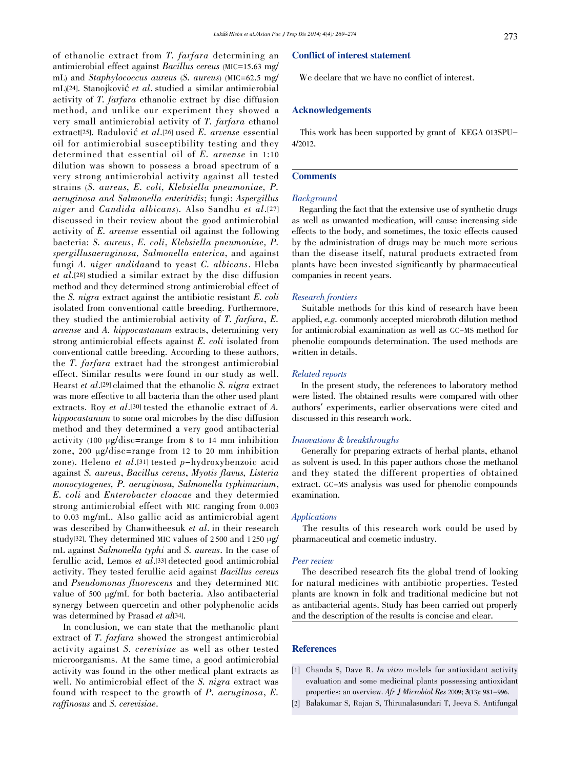of ethanolic extract from T. farfara determining an antimicrobial effect against Bacillus cereus (MIC=15.63 mg/ mL) and Staphylococcus aureus (S. aureus) (MIC=62.5 mg/ mL)[24]. Stanojković et al. studied a similar antimicrobial activity of T. farfara ethanolic extract by disc diffusion method, and unlike our experiment they showed a very small antimicrobial activity of T. farfara ethanol extract[25]. Radulović et al.[26] used E. arvense essential oil for antimicrobial susceptibility testing and they determined that essential oil of E. arvense in 1:10 dilution was shown to possess a broad spectrum of a very strong antimicrobial activity against all tested strains (S. aureus, E. coli, Klebsiella pneumoniae, P. aeruginosa and Salmonella enteritidis; fungi: Aspergillus niger and *Candida albicans*). Also Sandhu et al.<sup>[27]</sup> discussed in their review about the good antimicrobial activity of E. arvense essential oil against the following bacteria: S. aureus, E. coli, Klebsiella pneumoniae, P. spergillusaeruginosa, Salmonella enterica, and against fungi A. niger andidaand to yeast C. albicans. Hleba et al.[28] studied a similar extract by the disc diffusion method and they determined strong antimicrobial effect of the S. nigra extract against the antibiotic resistant E. coli isolated from conventional cattle breeding. Furthermore, they studied the antimicrobial activity of T. farfara, E. arvense and A. hippocastanum extracts, determining very strong antimicrobial effects against E. coli isolated from conventional cattle breeding. According to these authors, the T. farfara extract had the strongest antimicrobial effect. Similar results were found in our study as well. Hearst et al.[29] claimed that the ethanolic S. nigra extract was more effective to all bacteria than the other used plant extracts. Roy *et al.*[30] tested the ethanolic extract of A. hippocastanum to some oral microbes by the disc diffusion method and they determined a very good antibacterial activity (100 µg/disc=range from 8 to 14 mm inhibition zone, 200  $\mu$ g/disc=range from 12 to 20 mm inhibition zone). Heleno et  $al$ .<sup>[31]</sup> tested  $p$ -hydroxybenzoic acid against S. aureus, Bacillus cereus, Myotis flavus, Listeria monocytogenes, P. aeruginosa, Salmonella typhimurium, E. coli and Enterobacter cloacae and they determied strong antimicrobial effect with MIC ranging from 0.003 to 0.03 mg/mL. Also gallic acid as antimicrobial agent was described by Chanwitheesuk et al. in their research study<sup>[32]</sup>. They determined MIC values of 2500 and 1250 µg/ mL against Salmonella typhi and S. aureus. In the case of ferullic acid, Lemos et al.[33] detected good antimicrobial activity. They tested ferullic acid against Bacillus cereus and Pseudomonas fluorescens and they determined MIC value of 500 µg/mL for both bacteria. Also antibacterial synergy between quercetin and other polyphenolic acids was determined by Prasad et al[34].

In conclusion, we can state that the methanolic plant extract of T. farfara showed the strongest antimicrobial activity against S. cerevisiae as well as other tested microorganisms. At the same time, a good antimicrobial activity was found in the other medical plant extracts as well. No antimicrobial effect of the S. nigra extract was found with respect to the growth of P. aeruginosa, E. raffinosus and S. cerevisiae.

### Conflict of interest statement

We declare that we have no conflict of interest.

### Acknowledgements

This work has been supported by grant of KEGA 013SPU-4/2012.

### **Comments**

### **Background**

Regarding the fact that the extensive use of synthetic drugs as well as unwanted medication, will cause increasing side effects to the body, and sometimes, the toxic effects caused by the administration of drugs may be much more serious than the disease itself, natural products extracted from plants have been invested significantly by pharmaceutical companies in recent years.

### Research frontiers

Suitable methods for this kind of research have been applied, e.g. commonly accepted microbroth dilution method for antimicrobial examination as well as GC-MS method for phenolic compounds determination. The used methods are written in details.

### Related reports

In the present study, the references to laboratory method were listed. The obtained results were compared with other authors' experiments, earlier observations were cited and discussed in this research work.

#### Innovations & breakthroughs

Generally for preparing extracts of herbal plants, ethanol as solvent is used. In this paper authors chose the methanol and they stated the different properties of obtained extract. GC-MS analysis was used for phenolic compounds examination.

#### Applications

The results of this research work could be used by pharmaceutical and cosmetic industry.

### Peer review

The described research fits the global trend of looking for natural medicines with antibiotic properties. Tested plants are known in folk and traditional medicine but not as antibacterial agents. Study has been carried out properly and the description of the results is concise and clear.

### **References**

- [1] Chanda S, Dave R. In vitro models for antioxidant activity evaluation and some medicinal plants possessing antioxidant properties: an overview. Afr J Microbiol Res 2009; 3(13): 981-996.
- [2] Balakumar S, Rajan S, Thirunalasundari T, Jeeva S. Antifungal